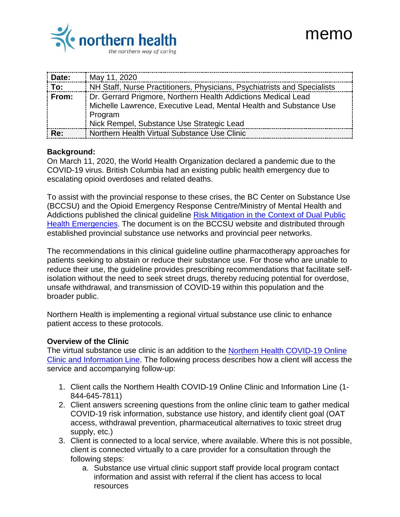

## memo

| Date:              | May 11, 2020                                                                                                                                                                                |
|--------------------|---------------------------------------------------------------------------------------------------------------------------------------------------------------------------------------------|
| $\overline{p}$ To: | NH Staff, Nurse Practitioners, Physicians, Psychiatrists and Specialists                                                                                                                    |
| From:              | Dr. Gerrard Prigmore, Northern Health Addictions Medical Lead<br>Michelle Lawrence, Executive Lead, Mental Health and Substance Use<br>Program<br>Nick Rempel, Substance Use Strategic Lead |
| Re:                | Northern Health Virtual Substance Use Clinic                                                                                                                                                |

## **Background:**

On March 11, 2020, the World Health Organization declared a pandemic due to the COVID-19 virus. British Columbia had an existing public health emergency due to escalating opioid overdoses and related deaths.

To assist with the provincial response to these crises, the BC Center on Substance Use (BCCSU) and the Opioid Emergency Response Centre/Ministry of Mental Health and Addictions published the clinical guideline Risk Mitigation in the Context of Dual Public [Health Emergencies.](https://www.bccsu.ca/covid-19/) The document is on the BCCSU website and distributed through established provincial substance use networks and provincial peer networks.

The recommendations in this clinical guideline outline pharmacotherapy approaches for patients seeking to abstain or reduce their substance use. For those who are unable to reduce their use, the guideline provides prescribing recommendations that facilitate selfisolation without the need to seek street drugs, thereby reducing potential for overdose, unsafe withdrawal, and transmission of COVID-19 within this population and the broader public.

Northern Health is implementing a regional virtual substance use clinic to enhance patient access to these protocols.

## **Overview of the Clinic**

The virtual substance use clinic is an addition to the [Northern Health COVID-19 Online](https://stories.northernhealth.ca/stories/covid-19-online-clinic-and-information-line)  [Clinic and Information Line.](https://stories.northernhealth.ca/stories/covid-19-online-clinic-and-information-line) The following process describes how a client will access the service and accompanying follow-up:

- 1. Client calls the Northern Health COVID-19 Online Clinic and Information Line (1- 844-645-7811)
- 2. Client answers screening questions from the online clinic team to gather medical COVID-19 risk information, substance use history, and identify client goal (OAT access, withdrawal prevention, pharmaceutical alternatives to toxic street drug supply, etc.)
- 3. Client is connected to a local service, where available. Where this is not possible, client is connected virtually to a care provider for a consultation through the following steps:
	- a. Substance use virtual clinic support staff provide local program contact information and assist with referral if the client has access to local resources